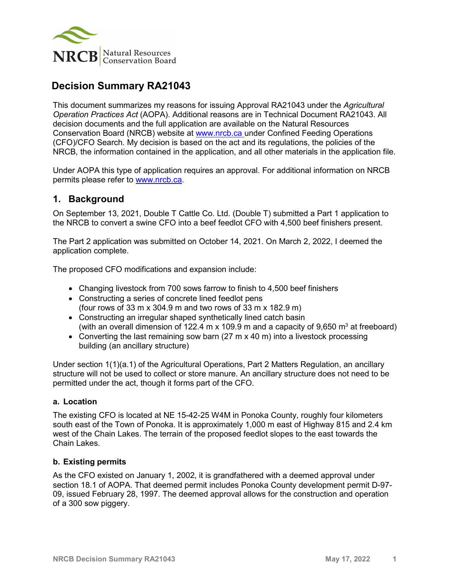

# **Decision Summary RA21043**

This document summarizes my reasons for issuing Approval RA21043 under the *Agricultural Operation Practices Act* (AOPA). Additional reasons are in Technical Document RA21043. All decision documents and the full application are available on the Natural Resources Conservation Board (NRCB) website at [www.nrcb.ca](http://www.nrcb.ca/) under Confined Feeding Operations (CFO)/CFO Search. My decision is based on the act and its regulations, the policies of the NRCB, the information contained in the application, and all other materials in the application file.

Under AOPA this type of application requires an approval. For additional information on NRCB permits please refer to [www.nrcb.ca.](file://NRCB-File01/nosync/Application%20Form%20Review/Decision%20Summary%20Template%2027%20April%202020/www.nrcb.ca)

## **1. Background**

On September 13, 2021, Double T Cattle Co. Ltd. (Double T) submitted a Part 1 application to the NRCB to convert a swine CFO into a beef feedlot CFO with 4,500 beef finishers present.

The Part 2 application was submitted on October 14, 2021. On March 2, 2022, I deemed the application complete.

The proposed CFO modifications and expansion include:

- Changing livestock from 700 sows farrow to finish to 4,500 beef finishers
- Constructing a series of concrete lined feedlot pens (four rows of 33 m x 304.9 m and two rows of 33 m x 182.9 m)
- Constructing an irregular shaped synthetically lined catch basin
- (with an overall dimension of 122.4 m x 109.9 m and a capacity of 9,650 m<sup>3</sup> at freeboard)
- Converting the last remaining sow barn (27 m x 40 m) into a livestock processing building (an ancillary structure)

Under section 1(1)(a.1) of the Agricultural Operations, Part 2 Matters Regulation, an ancillary structure will not be used to collect or store manure. An ancillary structure does not need to be permitted under the act, though it forms part of the CFO.

#### **a. Location**

The existing CFO is located at NE 15-42-25 W4M in Ponoka County, roughly four kilometers south east of the Town of Ponoka. It is approximately 1,000 m east of Highway 815 and 2.4 km west of the Chain Lakes. The terrain of the proposed feedlot slopes to the east towards the Chain Lakes.

#### **b. Existing permits**

As the CFO existed on January 1, 2002, it is grandfathered with a deemed approval under section 18.1 of AOPA. That deemed permit includes Ponoka County development permit D-97- 09, issued February 28, 1997. The deemed approval allows for the construction and operation of a 300 sow piggery.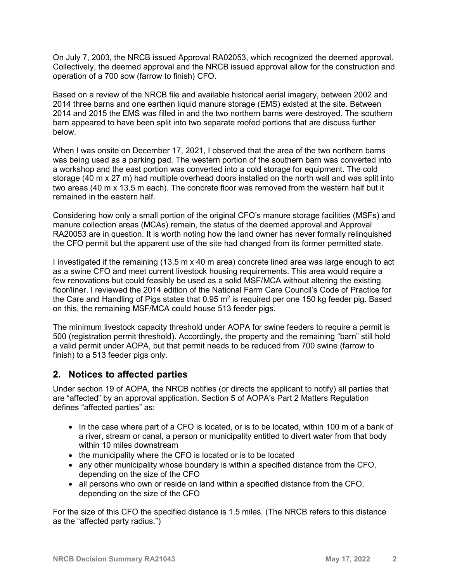On July 7, 2003, the NRCB issued Approval RA02053, which recognized the deemed approval. Collectively, the deemed approval and the NRCB issued approval allow for the construction and operation of a 700 sow (farrow to finish) CFO.

Based on a review of the NRCB file and available historical aerial imagery, between 2002 and 2014 three barns and one earthen liquid manure storage (EMS) existed at the site. Between 2014 and 2015 the EMS was filled in and the two northern barns were destroyed. The southern barn appeared to have been split into two separate roofed portions that are discuss further below.

When I was onsite on December 17, 2021, I observed that the area of the two northern barns was being used as a parking pad. The western portion of the southern barn was converted into a workshop and the east portion was converted into a cold storage for equipment. The cold storage (40 m x 27 m) had multiple overhead doors installed on the north wall and was split into two areas (40 m x 13.5 m each). The concrete floor was removed from the western half but it remained in the eastern half.

Considering how only a small portion of the original CFO's manure storage facilities (MSFs) and manure collection areas (MCAs) remain, the status of the deemed approval and Approval RA20053 are in question. It is worth noting how the land owner has never formally relinquished the CFO permit but the apparent use of the site had changed from its former permitted state.

I investigated if the remaining (13.5 m x 40 m area) concrete lined area was large enough to act as a swine CFO and meet current livestock housing requirements. This area would require a few renovations but could feasibly be used as a solid MSF/MCA without altering the existing floor/liner. I reviewed the 2014 edition of the National Farm Care Council's Code of Practice for the Care and Handling of Pigs states that  $0.95 \text{ m}^2$  is required per one 150 kg feeder pig. Based on this, the remaining MSF/MCA could house 513 feeder pigs.

The minimum livestock capacity threshold under AOPA for swine feeders to require a permit is 500 (registration permit threshold). Accordingly, the property and the remaining "barn" still hold a valid permit under AOPA, but that permit needs to be reduced from 700 swine (farrow to finish) to a 513 feeder pigs only.

## **2. Notices to affected parties**

Under section 19 of AOPA, the NRCB notifies (or directs the applicant to notify) all parties that are "affected" by an approval application. Section 5 of AOPA's Part 2 Matters Regulation defines "affected parties" as:

- In the case where part of a CFO is located, or is to be located, within 100 m of a bank of a river, stream or canal, a person or municipality entitled to divert water from that body within 10 miles downstream
- the municipality where the CFO is located or is to be located
- any other municipality whose boundary is within a specified distance from the CFO, depending on the size of the CFO
- all persons who own or reside on land within a specified distance from the CFO, depending on the size of the CFO

For the size of this CFO the specified distance is 1.5 miles. (The NRCB refers to this distance as the "affected party radius.")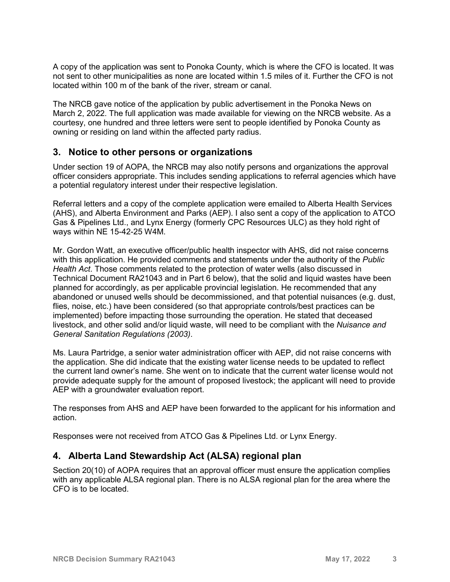A copy of the application was sent to Ponoka County, which is where the CFO is located. It was not sent to other municipalities as none are located within 1.5 miles of it. Further the CFO is not located within 100 m of the bank of the river, stream or canal.

The NRCB gave notice of the application by public advertisement in the Ponoka News on March 2, 2022. The full application was made available for viewing on the NRCB website. As a courtesy, one hundred and three letters were sent to people identified by Ponoka County as owning or residing on land within the affected party radius.

## **3. Notice to other persons or organizations**

Under section 19 of AOPA, the NRCB may also notify persons and organizations the approval officer considers appropriate. This includes sending applications to referral agencies which have a potential regulatory interest under their respective legislation.

Referral letters and a copy of the complete application were emailed to Alberta Health Services (AHS), and Alberta Environment and Parks (AEP). I also sent a copy of the application to ATCO Gas & Pipelines Ltd., and Lynx Energy (formerly CPC Resources ULC) as they hold right of ways within NE 15-42-25 W4M.

Mr. Gordon Watt, an executive officer/public health inspector with AHS, did not raise concerns with this application. He provided comments and statements under the authority of the *Public Health Act*. Those comments related to the protection of water wells (also discussed in Technical Document RA21043 and in Part 6 below), that the solid and liquid wastes have been planned for accordingly, as per applicable provincial legislation. He recommended that any abandoned or unused wells should be decommissioned, and that potential nuisances (e.g. dust, flies, noise, etc.) have been considered (so that appropriate controls/best practices can be implemented) before impacting those surrounding the operation. He stated that deceased livestock, and other solid and/or liquid waste, will need to be compliant with the *Nuisance and General Sanitation Regulations (2003)*.

Ms. Laura Partridge, a senior water administration officer with AEP, did not raise concerns with the application. She did indicate that the existing water license needs to be updated to reflect the current land owner's name. She went on to indicate that the current water license would not provide adequate supply for the amount of proposed livestock; the applicant will need to provide AEP with a groundwater evaluation report.

The responses from AHS and AEP have been forwarded to the applicant for his information and action.

Responses were not received from ATCO Gas & Pipelines Ltd. or Lynx Energy.

## **4. Alberta Land Stewardship Act (ALSA) regional plan**

Section 20(10) of AOPA requires that an approval officer must ensure the application complies with any applicable ALSA regional plan. There is no ALSA regional plan for the area where the CFO is to be located.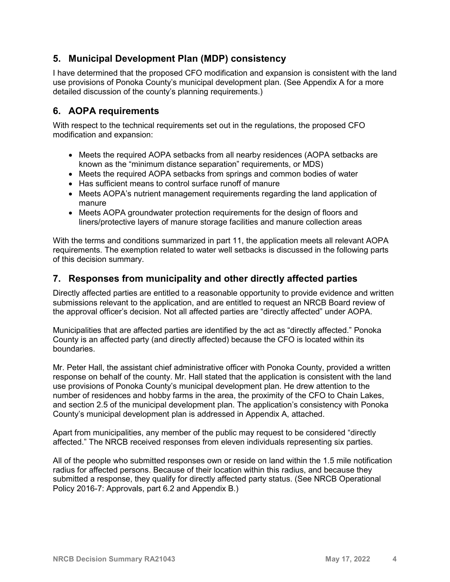## **5. Municipal Development Plan (MDP) consistency**

I have determined that the proposed CFO modification and expansion is consistent with the land use provisions of Ponoka County's municipal development plan. (See Appendix A for a more detailed discussion of the county's planning requirements.)

## **6. AOPA requirements**

With respect to the technical requirements set out in the regulations, the proposed CFO modification and expansion:

- Meets the required AOPA setbacks from all nearby residences (AOPA setbacks are known as the "minimum distance separation" requirements, or MDS)
- Meets the required AOPA setbacks from springs and common bodies of water
- Has sufficient means to control surface runoff of manure
- Meets AOPA's nutrient management requirements regarding the land application of manure
- Meets AOPA groundwater protection requirements for the design of floors and liners/protective layers of manure storage facilities and manure collection areas

With the terms and conditions summarized in part 11, the application meets all relevant AOPA requirements. The exemption related to water well setbacks is discussed in the following parts of this decision summary.

## **7. Responses from municipality and other directly affected parties**

Directly affected parties are entitled to a reasonable opportunity to provide evidence and written submissions relevant to the application, and are entitled to request an NRCB Board review of the approval officer's decision. Not all affected parties are "directly affected" under AOPA.

Municipalities that are affected parties are identified by the act as "directly affected." Ponoka County is an affected party (and directly affected) because the CFO is located within its boundaries.

Mr. Peter Hall, the assistant chief administrative officer with Ponoka County, provided a written response on behalf of the county. Mr. Hall stated that the application is consistent with the land use provisions of Ponoka County's municipal development plan. He drew attention to the number of residences and hobby farms in the area, the proximity of the CFO to Chain Lakes, and section 2.5 of the municipal development plan. The application's consistency with Ponoka County's municipal development plan is addressed in Appendix A, attached.

Apart from municipalities, any member of the public may request to be considered "directly affected." The NRCB received responses from eleven individuals representing six parties.

All of the people who submitted responses own or reside on land within the 1.5 mile notification radius for affected persons. Because of their location within this radius, and because they submitted a response, they qualify for directly affected party status. (See NRCB Operational Policy 2016-7: Approvals, part 6.2 and Appendix B.)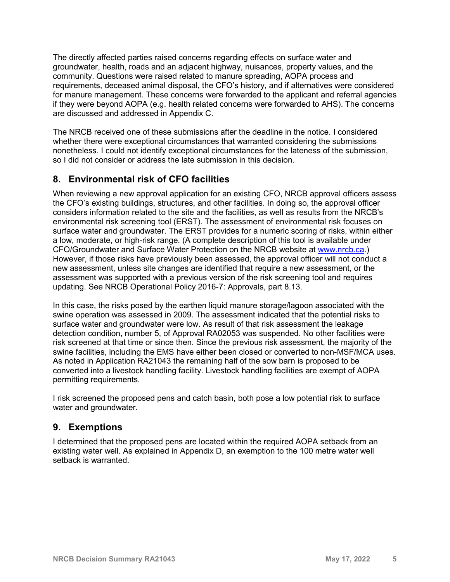The directly affected parties raised concerns regarding effects on surface water and groundwater, health, roads and an adjacent highway, nuisances, property values, and the community. Questions were raised related to manure spreading, AOPA process and requirements, deceased animal disposal, the CFO's history, and if alternatives were considered for manure management. These concerns were forwarded to the applicant and referral agencies if they were beyond AOPA (e.g. health related concerns were forwarded to AHS). The concerns are discussed and addressed in Appendix C.

The NRCB received one of these submissions after the deadline in the notice. I considered whether there were exceptional circumstances that warranted considering the submissions nonetheless. I could not identify exceptional circumstances for the lateness of the submission, so I did not consider or address the late submission in this decision.

## **8. Environmental risk of CFO facilities**

When reviewing a new approval application for an existing CFO, NRCB approval officers assess the CFO's existing buildings, structures, and other facilities. In doing so, the approval officer considers information related to the site and the facilities, as well as results from the NRCB's environmental risk screening tool (ERST). The assessment of environmental risk focuses on surface water and groundwater. The ERST provides for a numeric scoring of risks, within either a low, moderate, or high-risk range. (A complete description of this tool is available under CFO/Groundwater and Surface Water Protection on the NRCB website at [www.nrcb.ca.](http://www.nrcb.ca/)) However, if those risks have previously been assessed, the approval officer will not conduct a new assessment, unless site changes are identified that require a new assessment, or the assessment was supported with a previous version of the risk screening tool and requires updating. See NRCB Operational Policy 2016-7: Approvals, part 8.13.

In this case, the risks posed by the earthen liquid manure storage/lagoon associated with the swine operation was assessed in 2009. The assessment indicated that the potential risks to surface water and groundwater were low. As result of that risk assessment the leakage detection condition, number 5, of Approval RA02053 was suspended. No other facilities were risk screened at that time or since then. Since the previous risk assessment, the majority of the swine facilities, including the EMS have either been closed or converted to non-MSF/MCA uses. As noted in Application RA21043 the remaining half of the sow barn is proposed to be converted into a livestock handling facility. Livestock handling facilities are exempt of AOPA permitting requirements.

I risk screened the proposed pens and catch basin, both pose a low potential risk to surface water and groundwater.

## **9. Exemptions**

I determined that the proposed pens are located within the required AOPA setback from an existing water well. As explained in Appendix D, an exemption to the 100 metre water well setback is warranted.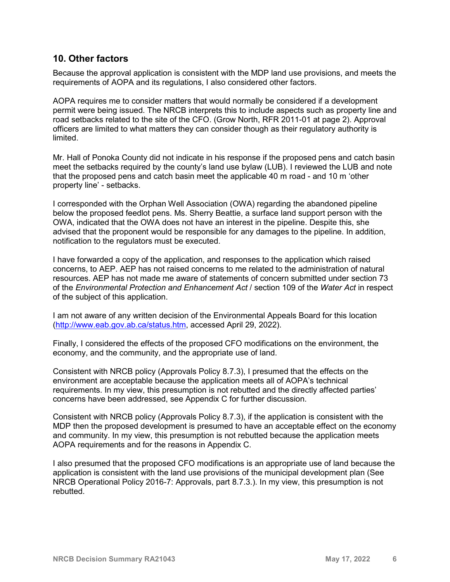### **10. Other factors**

Because the approval application is consistent with the MDP land use provisions, and meets the requirements of AOPA and its regulations, I also considered other factors.

AOPA requires me to consider matters that would normally be considered if a development permit were being issued. The NRCB interprets this to include aspects such as property line and road setbacks related to the site of the CFO. (Grow North, RFR 2011-01 at page 2). Approval officers are limited to what matters they can consider though as their regulatory authority is limited.

Mr. Hall of Ponoka County did not indicate in his response if the proposed pens and catch basin meet the setbacks required by the county's land use bylaw (LUB). I reviewed the LUB and note that the proposed pens and catch basin meet the applicable 40 m road - and 10 m 'other property line' - setbacks.

I corresponded with the Orphan Well Association (OWA) regarding the abandoned pipeline below the proposed feedlot pens. Ms. Sherry Beattie, a surface land support person with the OWA, indicated that the OWA does not have an interest in the pipeline. Despite this, she advised that the proponent would be responsible for any damages to the pipeline. In addition, notification to the regulators must be executed.

I have forwarded a copy of the application, and responses to the application which raised concerns, to AEP. AEP has not raised concerns to me related to the administration of natural resources. AEP has not made me aware of statements of concern submitted under section 73 of the *Environmental Protection and Enhancement Act* / section 109 of the *Water Act* in respect of the subject of this application.

I am not aware of any written decision of the Environmental Appeals Board for this location [\(http://www.eab.gov.ab.ca/status.htm,](http://www.eab.gov.ab.ca/status.htm) accessed April 29, 2022).

Finally, I considered the effects of the proposed CFO modifications on the environment, the economy, and the community, and the appropriate use of land.

Consistent with NRCB policy (Approvals Policy 8.7.3), I presumed that the effects on the environment are acceptable because the application meets all of AOPA's technical requirements. In my view, this presumption is not rebutted and the directly affected parties' concerns have been addressed, see Appendix C for further discussion.

Consistent with NRCB policy (Approvals Policy 8.7.3), if the application is consistent with the MDP then the proposed development is presumed to have an acceptable effect on the economy and community. In my view, this presumption is not rebutted because the application meets AOPA requirements and for the reasons in Appendix C.

I also presumed that the proposed CFO modifications is an appropriate use of land because the application is consistent with the land use provisions of the municipal development plan (See NRCB Operational Policy 2016-7: Approvals, part 8.7.3.). In my view, this presumption is not rebutted.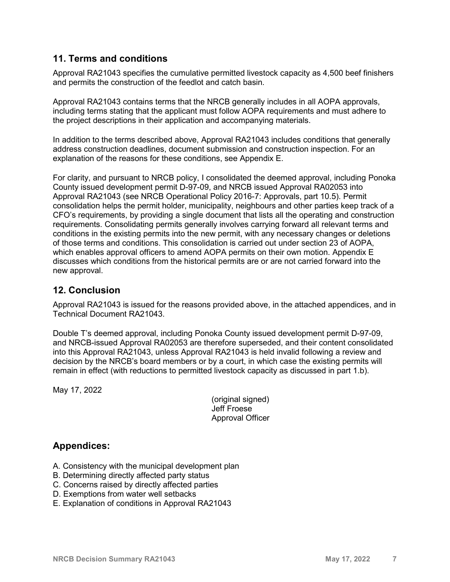## **11. Terms and conditions**

Approval RA21043 specifies the cumulative permitted livestock capacity as 4,500 beef finishers and permits the construction of the feedlot and catch basin.

Approval RA21043 contains terms that the NRCB generally includes in all AOPA approvals, including terms stating that the applicant must follow AOPA requirements and must adhere to the project descriptions in their application and accompanying materials.

In addition to the terms described above, Approval RA21043 includes conditions that generally address construction deadlines, document submission and construction inspection. For an explanation of the reasons for these conditions, see Appendix E.

For clarity, and pursuant to NRCB policy, I consolidated the deemed approval, including Ponoka County issued development permit D-97-09, and NRCB issued Approval RA02053 into Approval RA21043 (see NRCB Operational Policy 2016-7: Approvals, part 10.5). Permit consolidation helps the permit holder, municipality, neighbours and other parties keep track of a CFO's requirements, by providing a single document that lists all the operating and construction requirements. Consolidating permits generally involves carrying forward all relevant terms and conditions in the existing permits into the new permit, with any necessary changes or deletions of those terms and conditions. This consolidation is carried out under section 23 of AOPA, which enables approval officers to amend AOPA permits on their own motion. Appendix E discusses which conditions from the historical permits are or are not carried forward into the new approval.

## **12. Conclusion**

Approval RA21043 is issued for the reasons provided above, in the attached appendices, and in Technical Document RA21043.

Double T's deemed approval, including Ponoka County issued development permit D-97-09, and NRCB-issued Approval RA02053 are therefore superseded, and their content consolidated into this Approval RA21043, unless Approval RA21043 is held invalid following a review and decision by the NRCB's board members or by a court, in which case the existing permits will remain in effect (with reductions to permitted livestock capacity as discussed in part 1.b).

May 17, 2022

(original signed) Jeff Froese Approval Officer

## **Appendices:**

- A. Consistency with the municipal development plan
- B. Determining directly affected party status
- C. Concerns raised by directly affected parties
- D. Exemptions from water well setbacks
- E. Explanation of conditions in Approval RA21043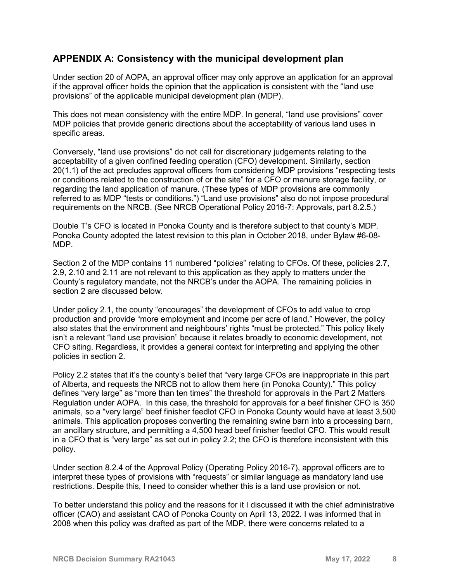## **APPENDIX A: Consistency with the municipal development plan**

Under section 20 of AOPA, an approval officer may only approve an application for an approval if the approval officer holds the opinion that the application is consistent with the "land use provisions" of the applicable municipal development plan (MDP).

This does not mean consistency with the entire MDP. In general, "land use provisions" cover MDP policies that provide generic directions about the acceptability of various land uses in specific areas.

Conversely, "land use provisions" do not call for discretionary judgements relating to the acceptability of a given confined feeding operation (CFO) development. Similarly, section 20(1.1) of the act precludes approval officers from considering MDP provisions "respecting tests or conditions related to the construction of or the site" for a CFO or manure storage facility, or regarding the land application of manure. (These types of MDP provisions are commonly referred to as MDP "tests or conditions.") "Land use provisions" also do not impose procedural requirements on the NRCB. (See NRCB Operational Policy 2016-7: Approvals, part 8.2.5.)

Double T's CFO is located in Ponoka County and is therefore subject to that county's MDP. Ponoka County adopted the latest revision to this plan in October 2018, under Bylaw #6-08- MDP.

Section 2 of the MDP contains 11 numbered "policies" relating to CFOs. Of these, policies 2.7, 2.9, 2.10 and 2.11 are not relevant to this application as they apply to matters under the County's regulatory mandate, not the NRCB's under the AOPA. The remaining policies in section 2 are discussed below.

Under policy 2.1, the county "encourages" the development of CFOs to add value to crop production and provide "more employment and income per acre of land." However, the policy also states that the environment and neighbours' rights "must be protected." This policy likely isn't a relevant "land use provision" because it relates broadly to economic development, not CFO siting. Regardless, it provides a general context for interpreting and applying the other policies in section 2.

Policy 2.2 states that it's the county's belief that "very large CFOs are inappropriate in this part of Alberta, and requests the NRCB not to allow them here (in Ponoka County)." This policy defines "very large" as "more than ten times" the threshold for approvals in the Part 2 Matters Regulation under AOPA. In this case, the threshold for approvals for a beef finisher CFO is 350 animals, so a "very large" beef finisher feedlot CFO in Ponoka County would have at least 3,500 animals. This application proposes converting the remaining swine barn into a processing barn, an ancillary structure, and permitting a 4,500 head beef finisher feedlot CFO. This would result in a CFO that is "very large" as set out in policy 2.2; the CFO is therefore inconsistent with this policy.

Under section 8.2.4 of the Approval Policy (Operating Policy 2016-7), approval officers are to interpret these types of provisions with "requests" or similar language as mandatory land use restrictions. Despite this, I need to consider whether this is a land use provision or not.

To better understand this policy and the reasons for it I discussed it with the chief administrative officer (CAO) and assistant CAO of Ponoka County on April 13, 2022. I was informed that in 2008 when this policy was drafted as part of the MDP, there were concerns related to a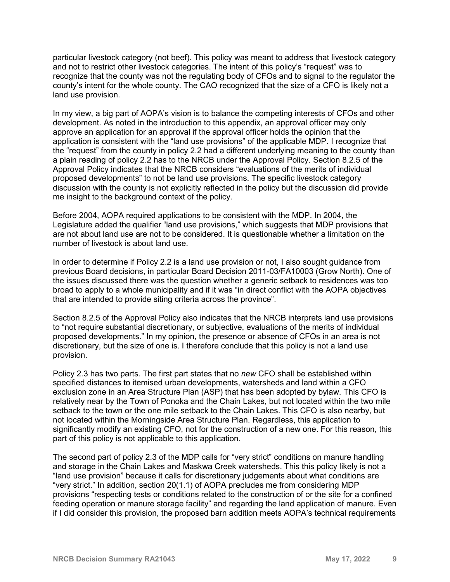particular livestock category (not beef). This policy was meant to address that livestock category and not to restrict other livestock categories. The intent of this policy's "request" was to recognize that the county was not the regulating body of CFOs and to signal to the regulator the county's intent for the whole county. The CAO recognized that the size of a CFO is likely not a land use provision.

In my view, a big part of AOPA's vision is to balance the competing interests of CFOs and other development. As noted in the introduction to this appendix, an approval officer may only approve an application for an approval if the approval officer holds the opinion that the application is consistent with the "land use provisions" of the applicable MDP. I recognize that the "request" from the county in policy 2.2 had a different underlying meaning to the county than a plain reading of policy 2.2 has to the NRCB under the Approval Policy. Section 8.2.5 of the Approval Policy indicates that the NRCB considers "evaluations of the merits of individual proposed developments" to not be land use provisions. The specific livestock category discussion with the county is not explicitly reflected in the policy but the discussion did provide me insight to the background context of the policy.

Before 2004, AOPA required applications to be consistent with the MDP. In 2004, the Legislature added the qualifier "land use provisions," which suggests that MDP provisions that are not about land use are not to be considered. It is questionable whether a limitation on the number of livestock is about land use.

In order to determine if Policy 2.2 is a land use provision or not, I also sought guidance from previous Board decisions, in particular Board Decision 2011-03/FA10003 (Grow North). One of the issues discussed there was the question whether a generic setback to residences was too broad to apply to a whole municipality and if it was "in direct conflict with the AOPA objectives that are intended to provide siting criteria across the province".

Section 8.2.5 of the Approval Policy also indicates that the NRCB interprets land use provisions to "not require substantial discretionary, or subjective, evaluations of the merits of individual proposed developments." In my opinion, the presence or absence of CFOs in an area is not discretionary, but the size of one is. I therefore conclude that this policy is not a land use provision.

Policy 2.3 has two parts. The first part states that no *new* CFO shall be established within specified distances to itemised urban developments, watersheds and land within a CFO exclusion zone in an Area Structure Plan (ASP) that has been adopted by bylaw. This CFO is relatively near by the Town of Ponoka and the Chain Lakes, but not located within the two mile setback to the town or the one mile setback to the Chain Lakes. This CFO is also nearby, but not located within the Morningside Area Structure Plan. Regardless, this application to significantly modify an existing CFO, not for the construction of a new one. For this reason, this part of this policy is not applicable to this application.

The second part of policy 2.3 of the MDP calls for "very strict" conditions on manure handling and storage in the Chain Lakes and Maskwa Creek watersheds. This this policy likely is not a "land use provision" because it calls for discretionary judgements about what conditions are "very strict." In addition, section 20(1.1) of AOPA precludes me from considering MDP provisions "respecting tests or conditions related to the construction of or the site for a confined feeding operation or manure storage facility" and regarding the land application of manure. Even if I did consider this provision, the proposed barn addition meets AOPA's technical requirements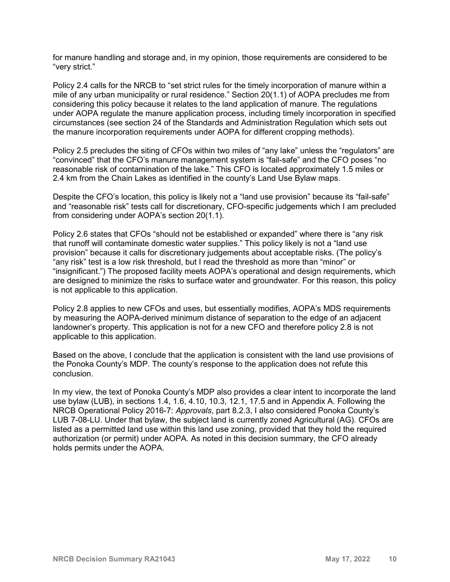for manure handling and storage and, in my opinion, those requirements are considered to be "very strict."

Policy 2.4 calls for the NRCB to "set strict rules for the timely incorporation of manure within a mile of any urban municipality or rural residence." Section 20(1.1) of AOPA precludes me from considering this policy because it relates to the land application of manure. The regulations under AOPA regulate the manure application process, including timely incorporation in specified circumstances (see section 24 of the Standards and Administration Regulation which sets out the manure incorporation requirements under AOPA for different cropping methods).

Policy 2.5 precludes the siting of CFOs within two miles of "any lake" unless the "regulators" are "convinced" that the CFO's manure management system is "fail-safe" and the CFO poses "no reasonable risk of contamination of the lake." This CFO is located approximately 1.5 miles or 2.4 km from the Chain Lakes as identified in the county's Land Use Bylaw maps.

Despite the CFO's location, this policy is likely not a "land use provision" because its "fail-safe" and "reasonable risk" tests call for discretionary, CFO-specific judgements which I am precluded from considering under AOPA's section 20(1.1).

Policy 2.6 states that CFOs "should not be established or expanded" where there is "any risk that runoff will contaminate domestic water supplies." This policy likely is not a "land use provision" because it calls for discretionary judgements about acceptable risks. (The policy's "any risk" test is a low risk threshold, but I read the threshold as more than "minor" or "insignificant.") The proposed facility meets AOPA's operational and design requirements, which are designed to minimize the risks to surface water and groundwater. For this reason, this policy is not applicable to this application.

Policy 2.8 applies to new CFOs and uses, but essentially modifies, AOPA's MDS requirements by measuring the AOPA-derived minimum distance of separation to the edge of an adjacent landowner's property. This application is not for a new CFO and therefore policy 2.8 is not applicable to this application.

Based on the above, I conclude that the application is consistent with the land use provisions of the Ponoka County's MDP. The county's response to the application does not refute this conclusion.

In my view, the text of Ponoka County's MDP also provides a clear intent to incorporate the land use bylaw (LUB), in sections 1.4, 1.6, 4.10, 10.3, 12.1, 17.5 and in Appendix A. Following the NRCB Operational Policy 2016-7: *Approvals*, part 8.2.3, I also considered Ponoka County's LUB 7-08-LU. Under that bylaw, the subject land is currently zoned Agricultural (AG). CFOs are listed as a permitted land use within this land use zoning, provided that they hold the required authorization (or permit) under AOPA. As noted in this decision summary, the CFO already holds permits under the AOPA.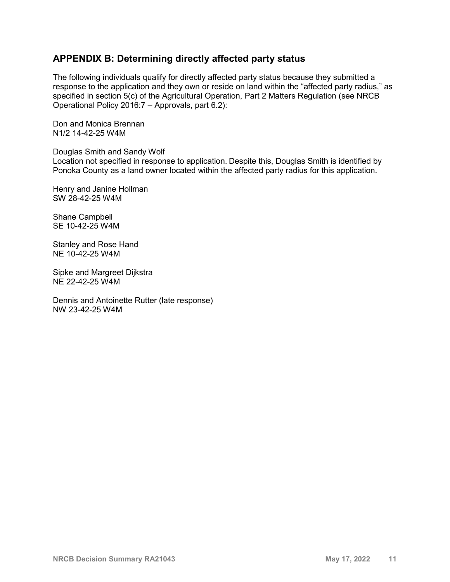## **APPENDIX B: Determining directly affected party status**

The following individuals qualify for directly affected party status because they submitted a response to the application and they own or reside on land within the "affected party radius," as specified in section 5(c) of the Agricultural Operation, Part 2 Matters Regulation (see NRCB Operational Policy 2016:7 – Approvals, part 6.2):

Don and Monica Brennan N1/2 14-42-25 W4M

Douglas Smith and Sandy Wolf

Location not specified in response to application. Despite this, Douglas Smith is identified by Ponoka County as a land owner located within the affected party radius for this application.

Henry and Janine Hollman SW 28-42-25 W4M

Shane Campbell SE 10-42-25 W4M

Stanley and Rose Hand NE 10-42-25 W4M

Sipke and Margreet Dijkstra NE 22-42-25 W4M

Dennis and Antoinette Rutter (late response) NW 23-42-25 W4M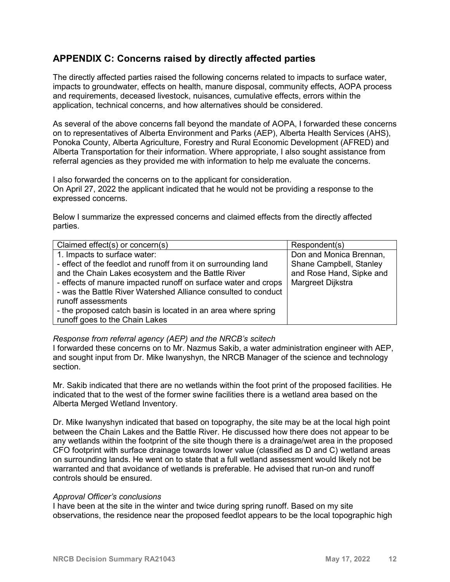## **APPENDIX C: Concerns raised by directly affected parties**

The directly affected parties raised the following concerns related to impacts to surface water, impacts to groundwater, effects on health, manure disposal, community effects, AOPA process and requirements, deceased livestock, nuisances, cumulative effects, errors within the application, technical concerns, and how alternatives should be considered.

As several of the above concerns fall beyond the mandate of AOPA, I forwarded these concerns on to representatives of Alberta Environment and Parks (AEP), Alberta Health Services (AHS), Ponoka County, Alberta Agriculture, Forestry and Rural Economic Development (AFRED) and Alberta Transportation for their information. Where appropriate, I also sought assistance from referral agencies as they provided me with information to help me evaluate the concerns.

I also forwarded the concerns on to the applicant for consideration. On April 27, 2022 the applicant indicated that he would not be providing a response to the expressed concerns.

Below I summarize the expressed concerns and claimed effects from the directly affected parties.

| Claimed effect(s) or concern(s)                                                                                                                                                                                                                                                                                                                                                                                   | Respondent(s)                                                                                       |
|-------------------------------------------------------------------------------------------------------------------------------------------------------------------------------------------------------------------------------------------------------------------------------------------------------------------------------------------------------------------------------------------------------------------|-----------------------------------------------------------------------------------------------------|
| 1. Impacts to surface water:<br>- effect of the feedlot and runoff from it on surrounding land<br>and the Chain Lakes ecosystem and the Battle River<br>- effects of manure impacted runoff on surface water and crops<br>- was the Battle River Watershed Alliance consulted to conduct<br>runoff assessments<br>- the proposed catch basin is located in an area where spring<br>runoff goes to the Chain Lakes | Don and Monica Brennan,<br>Shane Campbell, Stanley<br>and Rose Hand, Sipke and<br>Margreet Dijkstra |

#### *Response from referral agency (AEP) and the NRCB's scitech*

I forwarded these concerns on to Mr. Nazmus Sakib, a water administration engineer with AEP, and sought input from Dr. Mike Iwanyshyn, the NRCB Manager of the science and technology section.

Mr. Sakib indicated that there are no wetlands within the foot print of the proposed facilities. He indicated that to the west of the former swine facilities there is a wetland area based on the Alberta Merged Wetland Inventory.

Dr. Mike Iwanyshyn indicated that based on topography, the site may be at the local high point between the Chain Lakes and the Battle River. He discussed how there does not appear to be any wetlands within the footprint of the site though there is a drainage/wet area in the proposed CFO footprint with surface drainage towards lower value (classified as D and C) wetland areas on surrounding lands. He went on to state that a full wetland assessment would likely not be warranted and that avoidance of wetlands is preferable. He advised that run-on and runoff controls should be ensured.

#### *Approval Officer's conclusions*

I have been at the site in the winter and twice during spring runoff. Based on my site observations, the residence near the proposed feedlot appears to be the local topographic high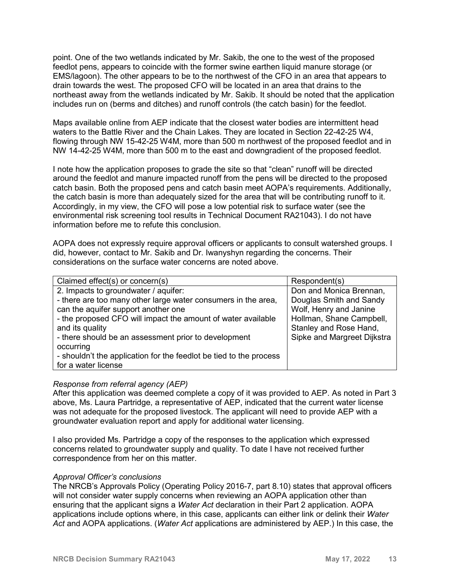point. One of the two wetlands indicated by Mr. Sakib, the one to the west of the proposed feedlot pens, appears to coincide with the former swine earthen liquid manure storage (or EMS/lagoon). The other appears to be to the northwest of the CFO in an area that appears to drain towards the west. The proposed CFO will be located in an area that drains to the northeast away from the wetlands indicated by Mr. Sakib. It should be noted that the application includes run on (berms and ditches) and runoff controls (the catch basin) for the feedlot.

Maps available online from AEP indicate that the closest water bodies are intermittent head waters to the Battle River and the Chain Lakes. They are located in Section 22-42-25 W4, flowing through NW 15-42-25 W4M, more than 500 m northwest of the proposed feedlot and in NW 14-42-25 W4M, more than 500 m to the east and downgradient of the proposed feedlot.

I note how the application proposes to grade the site so that "clean" runoff will be directed around the feedlot and manure impacted runoff from the pens will be directed to the proposed catch basin. Both the proposed pens and catch basin meet AOPA's requirements. Additionally, the catch basin is more than adequately sized for the area that will be contributing runoff to it. Accordingly, in my view, the CFO will pose a low potential risk to surface water (see the environmental risk screening tool results in Technical Document RA21043). I do not have information before me to refute this conclusion.

AOPA does not expressly require approval officers or applicants to consult watershed groups. I did, however, contact to Mr. Sakib and Dr. Iwanyshyn regarding the concerns. Their considerations on the surface water concerns are noted above.

| Claimed effect(s) or concern(s)                                    | Respondent(s)               |
|--------------------------------------------------------------------|-----------------------------|
| 2. Impacts to groundwater / aquifer:                               | Don and Monica Brennan,     |
| - there are too many other large water consumers in the area,      | Douglas Smith and Sandy     |
| can the aquifer support another one                                | Wolf, Henry and Janine      |
| - the proposed CFO will impact the amount of water available       | Hollman, Shane Campbell,    |
| and its quality                                                    | Stanley and Rose Hand,      |
| - there should be an assessment prior to development               | Sipke and Margreet Dijkstra |
| occurring                                                          |                             |
| - shouldn't the application for the feedlot be tied to the process |                             |
| for a water license                                                |                             |

#### *Response from referral agency (AEP)*

After this application was deemed complete a copy of it was provided to AEP. As noted in Part 3 above, Ms. Laura Partridge, a representative of AEP, indicated that the current water license was not adequate for the proposed livestock. The applicant will need to provide AEP with a groundwater evaluation report and apply for additional water licensing.

I also provided Ms. Partridge a copy of the responses to the application which expressed concerns related to groundwater supply and quality. To date I have not received further correspondence from her on this matter.

#### *Approval Officer's conclusions*

The NRCB's Approvals Policy (Operating Policy 2016-7, part 8.10) states that approval officers will not consider water supply concerns when reviewing an AOPA application other than ensuring that the applicant signs a *Water Act* declaration in their Part 2 application. AOPA applications include options where, in this case, applicants can either link or delink their *Water Act* and AOPA applications. (*Water Act* applications are administered by AEP.) In this case, the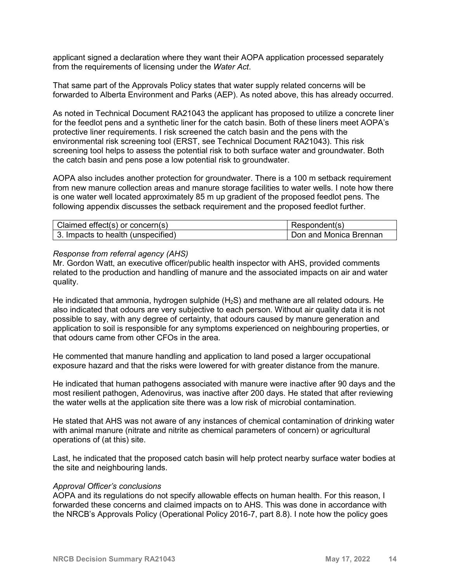applicant signed a declaration where they want their AOPA application processed separately from the requirements of licensing under the *Water Act*.

That same part of the Approvals Policy states that water supply related concerns will be forwarded to Alberta Environment and Parks (AEP). As noted above, this has already occurred.

As noted in Technical Document RA21043 the applicant has proposed to utilize a concrete liner for the feedlot pens and a synthetic liner for the catch basin. Both of these liners meet AOPA's protective liner requirements. I risk screened the catch basin and the pens with the environmental risk screening tool (ERST, see Technical Document RA21043). This risk screening tool helps to assess the potential risk to both surface water and groundwater. Both the catch basin and pens pose a low potential risk to groundwater.

AOPA also includes another protection for groundwater. There is a 100 m setback requirement from new manure collection areas and manure storage facilities to water wells. I note how there is one water well located approximately 85 m up gradient of the proposed feedlot pens. The following appendix discusses the setback requirement and the proposed feedlot further.

| Claimed effect(s) or concern(s)    | Respondent(s)          |
|------------------------------------|------------------------|
| 3. Impacts to health (unspecified) | Don and Monica Brennan |

#### *Response from referral agency (AHS)*

Mr. Gordon Watt, an executive officer/public health inspector with AHS, provided comments related to the production and handling of manure and the associated impacts on air and water quality.

He indicated that ammonia, hydrogen sulphide  $(H_2S)$  and methane are all related odours. He also indicated that odours are very subjective to each person. Without air quality data it is not possible to say, with any degree of certainty, that odours caused by manure generation and application to soil is responsible for any symptoms experienced on neighbouring properties, or that odours came from other CFOs in the area.

He commented that manure handling and application to land posed a larger occupational exposure hazard and that the risks were lowered for with greater distance from the manure.

He indicated that human pathogens associated with manure were inactive after 90 days and the most resilient pathogen, Adenovirus, was inactive after 200 days. He stated that after reviewing the water wells at the application site there was a low risk of microbial contamination.

He stated that AHS was not aware of any instances of chemical contamination of drinking water with animal manure (nitrate and nitrite as chemical parameters of concern) or agricultural operations of (at this) site.

Last, he indicated that the proposed catch basin will help protect nearby surface water bodies at the site and neighbouring lands.

#### *Approval Officer's conclusions*

AOPA and its regulations do not specify allowable effects on human health. For this reason, I forwarded these concerns and claimed impacts on to AHS. This was done in accordance with the NRCB's Approvals Policy (Operational Policy 2016-7, part 8.8). I note how the policy goes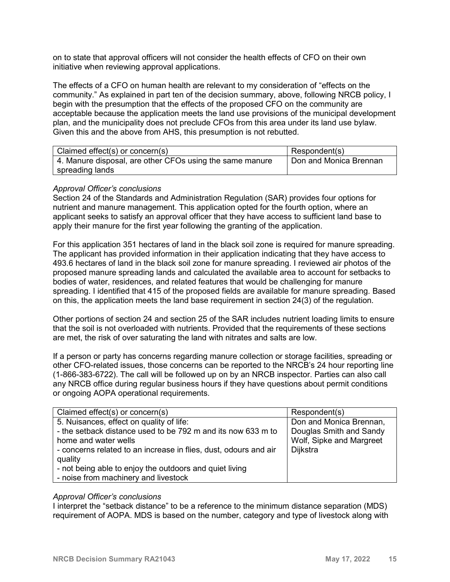on to state that approval officers will not consider the health effects of CFO on their own initiative when reviewing approval applications.

The effects of a CFO on human health are relevant to my consideration of "effects on the community." As explained in part ten of the decision summary, above, following NRCB policy, I begin with the presumption that the effects of the proposed CFO on the community are acceptable because the application meets the land use provisions of the municipal development plan, and the municipality does not preclude CFOs from this area under its land use bylaw. Given this and the above from AHS, this presumption is not rebutted.

| Claimed effect(s) or concern(s)                          | Respondent(s)          |
|----------------------------------------------------------|------------------------|
| 4. Manure disposal, are other CFOs using the same manure | Don and Monica Brennan |
| spreading lands                                          |                        |

#### *Approval Officer's conclusions*

Section 24 of the Standards and Administration Regulation (SAR) provides four options for nutrient and manure management. This application opted for the fourth option, where an applicant seeks to satisfy an approval officer that they have access to sufficient land base to apply their manure for the first year following the granting of the application.

For this application 351 hectares of land in the black soil zone is required for manure spreading. The applicant has provided information in their application indicating that they have access to 493.6 hectares of land in the black soil zone for manure spreading. I reviewed air photos of the proposed manure spreading lands and calculated the available area to account for setbacks to bodies of water, residences, and related features that would be challenging for manure spreading. I identified that 415 of the proposed fields are available for manure spreading. Based on this, the application meets the land base requirement in section 24(3) of the regulation.

Other portions of section 24 and section 25 of the SAR includes nutrient loading limits to ensure that the soil is not overloaded with nutrients. Provided that the requirements of these sections are met, the risk of over saturating the land with nitrates and salts are low.

If a person or party has concerns regarding manure collection or storage facilities, spreading or other CFO-related issues, those concerns can be reported to the NRCB's 24 hour reporting line (1-866-383-6722). The call will be followed up on by an NRCB inspector. Parties can also call any NRCB office during regular business hours if they have questions about permit conditions or ongoing AOPA operational requirements.

| Claimed effect(s) or concern(s)                                                                                                                                                                                                                                            | Respondent(s)                                                                              |
|----------------------------------------------------------------------------------------------------------------------------------------------------------------------------------------------------------------------------------------------------------------------------|--------------------------------------------------------------------------------------------|
| 5. Nuisances, effect on quality of life:<br>- the setback distance used to be 792 m and its now 633 m to<br>home and water wells<br>- concerns related to an increase in flies, dust, odours and air<br>quality<br>- not being able to enjoy the outdoors and quiet living | Don and Monica Brennan,<br>Douglas Smith and Sandy<br>Wolf, Sipke and Margreet<br>Dijkstra |
| - noise from machinery and livestock                                                                                                                                                                                                                                       |                                                                                            |

#### *Approval Officer's conclusions*

I interpret the "setback distance" to be a reference to the minimum distance separation (MDS) requirement of AOPA. MDS is based on the number, category and type of livestock along with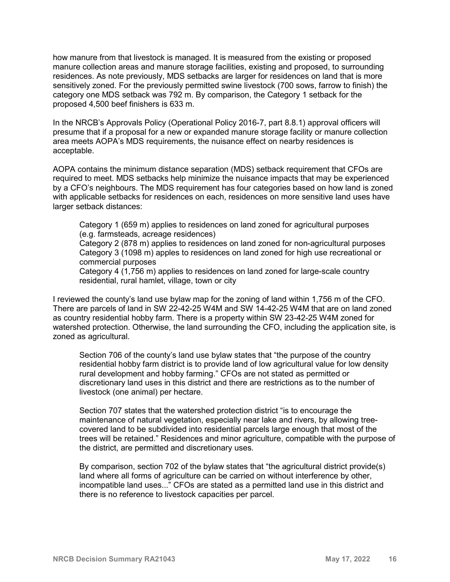how manure from that livestock is managed. It is measured from the existing or proposed manure collection areas and manure storage facilities, existing and proposed, to surrounding residences. As note previously, MDS setbacks are larger for residences on land that is more sensitively zoned. For the previously permitted swine livestock (700 sows, farrow to finish) the category one MDS setback was 792 m. By comparison, the Category 1 setback for the proposed 4,500 beef finishers is 633 m.

In the NRCB's Approvals Policy (Operational Policy 2016-7, part 8.8.1) approval officers will presume that if a proposal for a new or expanded manure storage facility or manure collection area meets AOPA's MDS requirements, the nuisance effect on nearby residences is acceptable.

AOPA contains the minimum distance separation (MDS) setback requirement that CFOs are required to meet. MDS setbacks help minimize the nuisance impacts that may be experienced by a CFO's neighbours. The MDS requirement has four categories based on how land is zoned with applicable setbacks for residences on each, residences on more sensitive land uses have larger setback distances:

Category 1 (659 m) applies to residences on land zoned for agricultural purposes (e.g. farmsteads, acreage residences)

Category 2 (878 m) applies to residences on land zoned for non-agricultural purposes Category 3 (1098 m) apples to residences on land zoned for high use recreational or commercial purposes

Category 4 (1,756 m) applies to residences on land zoned for large-scale country residential, rural hamlet, village, town or city

I reviewed the county's land use bylaw map for the zoning of land within 1,756 m of the CFO. There are parcels of land in SW 22-42-25 W4M and SW 14-42-25 W4M that are on land zoned as country residential hobby farm. There is a property within SW 23-42-25 W4M zoned for watershed protection. Otherwise, the land surrounding the CFO, including the application site, is zoned as agricultural.

Section 706 of the county's land use bylaw states that "the purpose of the country residential hobby farm district is to provide land of low agricultural value for low density rural development and hobby farming." CFOs are not stated as permitted or discretionary land uses in this district and there are restrictions as to the number of livestock (one animal) per hectare.

Section 707 states that the watershed protection district "is to encourage the maintenance of natural vegetation, especially near lake and rivers, by allowing treecovered land to be subdivided into residential parcels large enough that most of the trees will be retained." Residences and minor agriculture, compatible with the purpose of the district, are permitted and discretionary uses.

By comparison, section 702 of the bylaw states that "the agricultural district provide(s) land where all forms of agriculture can be carried on without interference by other, incompatible land uses..." CFOs are stated as a permitted land use in this district and there is no reference to livestock capacities per parcel.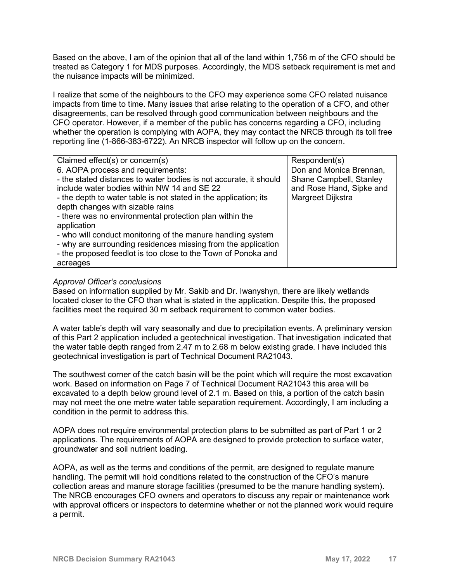Based on the above, I am of the opinion that all of the land within 1,756 m of the CFO should be treated as Category 1 for MDS purposes. Accordingly, the MDS setback requirement is met and the nuisance impacts will be minimized.

I realize that some of the neighbours to the CFO may experience some CFO related nuisance impacts from time to time. Many issues that arise relating to the operation of a CFO, and other disagreements, can be resolved through good communication between neighbours and the CFO operator. However, if a member of the public has concerns regarding a CFO, including whether the operation is complying with AOPA, they may contact the NRCB through its toll free reporting line (1-866-383-6722). An NRCB inspector will follow up on the concern.

| Claimed effect(s) or concern(s)                                                                                                                                                                                                                                                                                                                                                                                                                                                                                                          | Respondent(s)                                                                                       |
|------------------------------------------------------------------------------------------------------------------------------------------------------------------------------------------------------------------------------------------------------------------------------------------------------------------------------------------------------------------------------------------------------------------------------------------------------------------------------------------------------------------------------------------|-----------------------------------------------------------------------------------------------------|
| 6. AOPA process and requirements:<br>- the stated distances to water bodies is not accurate, it should<br>include water bodies within NW 14 and SE 22<br>- the depth to water table is not stated in the application; its<br>depth changes with sizable rains<br>- there was no environmental protection plan within the<br>application<br>- who will conduct monitoring of the manure handling system<br>- why are surrounding residences missing from the application<br>- the proposed feedlot is too close to the Town of Ponoka and | Don and Monica Brennan,<br>Shane Campbell, Stanley<br>and Rose Hand, Sipke and<br>Margreet Dijkstra |
| acreages                                                                                                                                                                                                                                                                                                                                                                                                                                                                                                                                 |                                                                                                     |

#### *Approval Officer's conclusions*

Based on information supplied by Mr. Sakib and Dr. Iwanyshyn, there are likely wetlands located closer to the CFO than what is stated in the application. Despite this, the proposed facilities meet the required 30 m setback requirement to common water bodies.

A water table's depth will vary seasonally and due to precipitation events. A preliminary version of this Part 2 application included a geotechnical investigation. That investigation indicated that the water table depth ranged from 2.47 m to 2.68 m below existing grade. I have included this geotechnical investigation is part of Technical Document RA21043.

The southwest corner of the catch basin will be the point which will require the most excavation work. Based on information on Page 7 of Technical Document RA21043 this area will be excavated to a depth below ground level of 2.1 m. Based on this, a portion of the catch basin may not meet the one metre water table separation requirement. Accordingly, I am including a condition in the permit to address this.

AOPA does not require environmental protection plans to be submitted as part of Part 1 or 2 applications. The requirements of AOPA are designed to provide protection to surface water, groundwater and soil nutrient loading.

AOPA, as well as the terms and conditions of the permit, are designed to regulate manure handling. The permit will hold conditions related to the construction of the CFO's manure collection areas and manure storage facilities (presumed to be the manure handling system). The NRCB encourages CFO owners and operators to discuss any repair or maintenance work with approval officers or inspectors to determine whether or not the planned work would require a permit.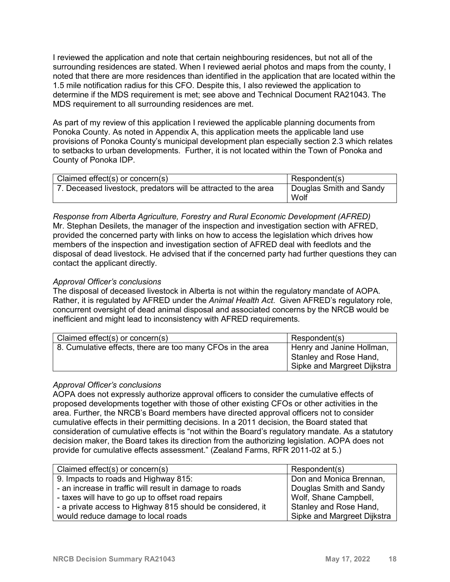I reviewed the application and note that certain neighbouring residences, but not all of the surrounding residences are stated. When I reviewed aerial photos and maps from the county, I noted that there are more residences than identified in the application that are located within the 1.5 mile notification radius for this CFO. Despite this, I also reviewed the application to determine if the MDS requirement is met; see above and Technical Document RA21043. The MDS requirement to all surrounding residences are met.

As part of my review of this application I reviewed the applicable planning documents from Ponoka County. As noted in Appendix A, this application meets the applicable land use provisions of Ponoka County's municipal development plan especially section 2.3 which relates to setbacks to urban developments. Further, it is not located within the Town of Ponoka and County of Ponoka IDP.

| Claimed effect(s) or concern(s)                                | Respondent(s)                   |
|----------------------------------------------------------------|---------------------------------|
| 7. Deceased livestock, predators will be attracted to the area | Douglas Smith and Sandy<br>Wolf |

*Response from Alberta Agriculture, Forestry and Rural Economic Development (AFRED)* Mr. Stephan Desilets, the manager of the inspection and investigation section with AFRED, provided the concerned party with links on how to access the legislation which drives how members of the inspection and investigation section of AFRED deal with feedlots and the disposal of dead livestock. He advised that if the concerned party had further questions they can contact the applicant directly.

#### *Approval Officer's conclusions*

The disposal of deceased livestock in Alberta is not within the regulatory mandate of AOPA. Rather, it is regulated by AFRED under the *Animal Health Act*. Given AFRED's regulatory role, concurrent oversight of dead animal disposal and associated concerns by the NRCB would be inefficient and might lead to inconsistency with AFRED requirements.

| Claimed effect(s) or concern(s)                            | Respondent(s)                                                                      |
|------------------------------------------------------------|------------------------------------------------------------------------------------|
| 8. Cumulative effects, there are too many CFOs in the area | Henry and Janine Hollman,<br>Stanley and Rose Hand,<br>Sipke and Margreet Dijkstra |

#### *Approval Officer's conclusions*

AOPA does not expressly authorize approval officers to consider the cumulative effects of proposed developments together with those of other existing CFOs or other activities in the area. Further, the NRCB's Board members have directed approval officers not to consider cumulative effects in their permitting decisions. In a 2011 decision, the Board stated that consideration of cumulative effects is "not within the Board's regulatory mandate. As a statutory decision maker, the Board takes its direction from the authorizing legislation. AOPA does not provide for cumulative effects assessment." (Zealand Farms, RFR 2011-02 at 5.)

| Claimed effect(s) or concern(s)                            | Respondent(s)               |
|------------------------------------------------------------|-----------------------------|
| 9. Impacts to roads and Highway 815:                       | Don and Monica Brennan,     |
| - an increase in traffic will result in damage to roads    | Douglas Smith and Sandy     |
| - taxes will have to go up to offset road repairs          | Wolf, Shane Campbell,       |
| - a private access to Highway 815 should be considered, it | Stanley and Rose Hand,      |
| would reduce damage to local roads                         | Sipke and Margreet Dijkstra |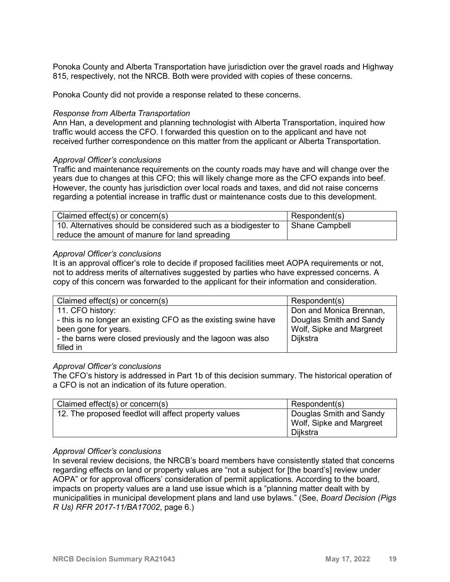Ponoka County and Alberta Transportation have jurisdiction over the gravel roads and Highway 815, respectively, not the NRCB. Both were provided with copies of these concerns.

Ponoka County did not provide a response related to these concerns.

#### *Response from Alberta Transportation*

Ann Han, a development and planning technologist with Alberta Transportation, inquired how traffic would access the CFO. I forwarded this question on to the applicant and have not received further correspondence on this matter from the applicant or Alberta Transportation.

#### *Approval Officer's conclusions*

Traffic and maintenance requirements on the county roads may have and will change over the years due to changes at this CFO; this will likely change more as the CFO expands into beef. However, the county has jurisdiction over local roads and taxes, and did not raise concerns regarding a potential increase in traffic dust or maintenance costs due to this development.

| Claimed effect(s) or concern(s)                                | Respondent(s)  |
|----------------------------------------------------------------|----------------|
| 10. Alternatives should be considered such as a biodigester to | Shane Campbell |
| reduce the amount of manure for land spreading                 |                |

#### *Approval Officer's conclusions*

It is an approval officer's role to decide if proposed facilities meet AOPA requirements or not, not to address merits of alternatives suggested by parties who have expressed concerns. A copy of this concern was forwarded to the applicant for their information and consideration.

| Claimed effect(s) or concern(s)                                | Respondent(s)            |
|----------------------------------------------------------------|--------------------------|
| 11. CFO history:                                               | Don and Monica Brennan,  |
| - this is no longer an existing CFO as the existing swine have | Douglas Smith and Sandy  |
| been gone for years.                                           | Wolf, Sipke and Margreet |
| - the barns were closed previously and the lagoon was also     | Dijkstra                 |
| filled in                                                      |                          |

#### *Approval Officer's conclusions*

The CFO's history is addressed in Part 1b of this decision summary. The historical operation of a CFO is not an indication of its future operation.

| Claimed effect(s) or concern(s)                      | Respondent(s)                                                   |
|------------------------------------------------------|-----------------------------------------------------------------|
| 12. The proposed feedlot will affect property values | Douglas Smith and Sandy<br>Wolf, Sipke and Margreet<br>Dijkstra |

#### *Approval Officer's conclusions*

In several review decisions, the NRCB's board members have consistently stated that concerns regarding effects on land or property values are "not a subject for [the board's] review under AOPA" or for approval officers' consideration of permit applications. According to the board, impacts on property values are a land use issue which is a "planning matter dealt with by municipalities in municipal development plans and land use bylaws." (See, *Board Decision (Pigs R Us) RFR 2017-11/BA17002*, page 6.)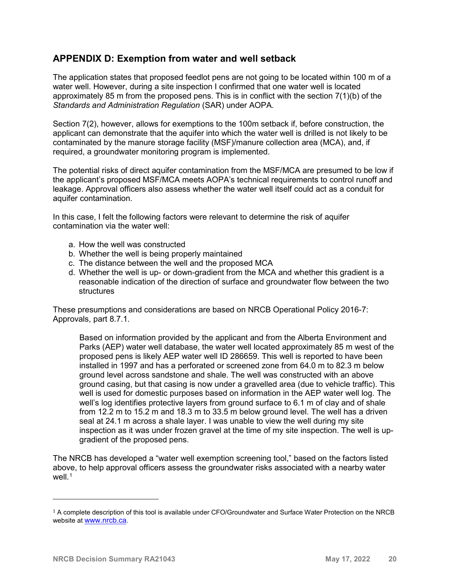## **APPENDIX D: Exemption from water and well setback**

The application states that proposed feedlot pens are not going to be located within 100 m of a water well. However, during a site inspection I confirmed that one water well is located approximately 85 m from the proposed pens. This is in conflict with the section 7(1)(b) of the *Standards and Administration Regulation* (SAR) under AOPA.

Section 7(2), however, allows for exemptions to the 100m setback if, before construction, the applicant can demonstrate that the aquifer into which the water well is drilled is not likely to be contaminated by the manure storage facility (MSF)/manure collection area (MCA), and, if required, a groundwater monitoring program is implemented.

The potential risks of direct aquifer contamination from the MSF/MCA are presumed to be low if the applicant's proposed MSF/MCA meets AOPA's technical requirements to control runoff and leakage. Approval officers also assess whether the water well itself could act as a conduit for aquifer contamination.

In this case, I felt the following factors were relevant to determine the risk of aquifer contamination via the water well:

- a. How the well was constructed
- b. Whether the well is being properly maintained
- c. The distance between the well and the proposed MCA
- d. Whether the well is up- or down-gradient from the MCA and whether this gradient is a reasonable indication of the direction of surface and groundwater flow between the two **structures**

These presumptions and considerations are based on NRCB Operational Policy 2016-7: Approvals, part 8.7.1.

Based on information provided by the applicant and from the Alberta Environment and Parks (AEP) water well database, the water well located approximately 85 m west of the proposed pens is likely AEP water well ID 286659. This well is reported to have been installed in 1997 and has a perforated or screened zone from 64.0 m to 82.3 m below ground level across sandstone and shale. The well was constructed with an above ground casing, but that casing is now under a gravelled area (due to vehicle traffic). This well is used for domestic purposes based on information in the AEP water well log. The well's log identifies protective layers from ground surface to 6.1 m of clay and of shale from 12.2 m to 15.2 m and 18.3 m to 33.5 m below ground level. The well has a driven seal at 24.1 m across a shale layer. I was unable to view the well during my site inspection as it was under frozen gravel at the time of my site inspection. The well is upgradient of the proposed pens.

The NRCB has developed a "water well exemption screening tool," based on the factors listed above, to help approval officers assess the groundwater risks associated with a nearby water well. $1$ 

i<br>I

<span id="page-19-0"></span> $1$  A complete description of this tool is available under CFO/Groundwater and Surface Water Protection on the NRCB website at [www.nrcb.ca.](http://www.nrcb.ca/)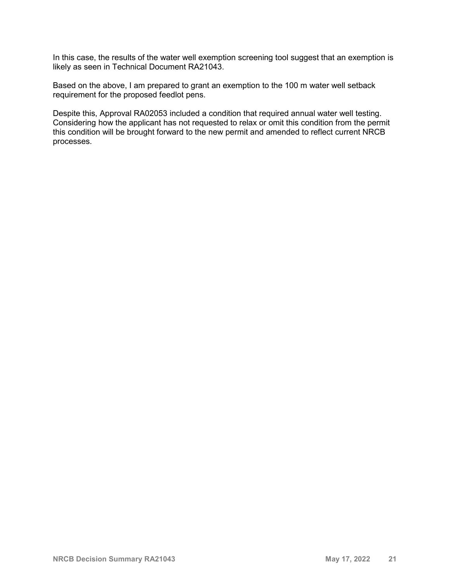In this case, the results of the water well exemption screening tool suggest that an exemption is likely as seen in Technical Document RA21043.

Based on the above, I am prepared to grant an exemption to the 100 m water well setback requirement for the proposed feedlot pens.

Despite this, Approval RA02053 included a condition that required annual water well testing. Considering how the applicant has not requested to relax or omit this condition from the permit this condition will be brought forward to the new permit and amended to reflect current NRCB processes.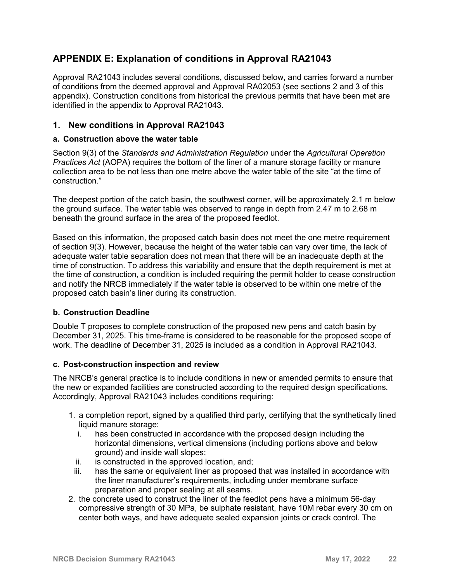## **APPENDIX E: Explanation of conditions in Approval RA21043**

Approval RA21043 includes several conditions, discussed below, and carries forward a number of conditions from the deemed approval and Approval RA02053 (see sections 2 and 3 of this appendix). Construction conditions from historical the previous permits that have been met are identified in the appendix to Approval RA21043.

### **1. New conditions in Approval RA21043**

#### **a. Construction above the water table**

Section 9(3) of the *Standards and Administration Regulation* under the *Agricultural Operation Practices Act* (AOPA) requires the bottom of the liner of a manure storage facility or manure collection area to be not less than one metre above the water table of the site "at the time of construction."

The deepest portion of the catch basin, the southwest corner, will be approximately 2.1 m below the ground surface. The water table was observed to range in depth from 2.47 m to 2.68 m beneath the ground surface in the area of the proposed feedlot.

Based on this information, the proposed catch basin does not meet the one metre requirement of section 9(3). However, because the height of the water table can vary over time, the lack of adequate water table separation does not mean that there will be an inadequate depth at the time of construction. To address this variability and ensure that the depth requirement is met at the time of construction, a condition is included requiring the permit holder to cease construction and notify the NRCB immediately if the water table is observed to be within one metre of the proposed catch basin's liner during its construction.

#### **b. Construction Deadline**

Double T proposes to complete construction of the proposed new pens and catch basin by December 31, 2025. This time-frame is considered to be reasonable for the proposed scope of work. The deadline of December 31, 2025 is included as a condition in Approval RA21043.

#### **c. Post-construction inspection and review**

The NRCB's general practice is to include conditions in new or amended permits to ensure that the new or expanded facilities are constructed according to the required design specifications. Accordingly, Approval RA21043 includes conditions requiring:

- 1. a completion report, signed by a qualified third party, certifying that the synthetically lined liquid manure storage:
	- i. has been constructed in accordance with the proposed design including the horizontal dimensions, vertical dimensions (including portions above and below ground) and inside wall slopes;
	- ii. is constructed in the approved location, and;
- iii. has the same or equivalent liner as proposed that was installed in accordance with the liner manufacturer's requirements, including under membrane surface preparation and proper sealing at all seams.
- 2. the concrete used to construct the liner of the feedlot pens have a minimum 56-day compressive strength of 30 MPa, be sulphate resistant, have 10M rebar every 30 cm on center both ways, and have adequate sealed expansion joints or crack control. The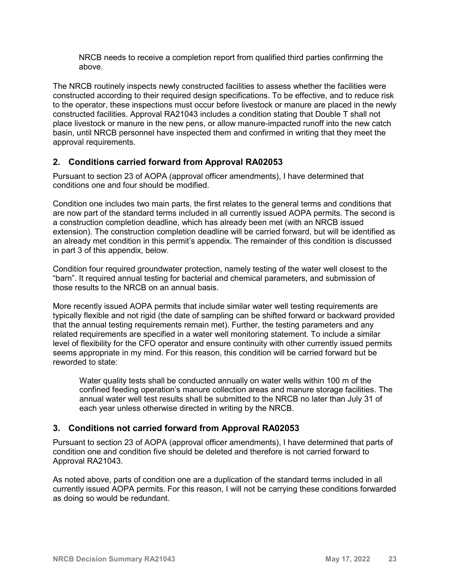NRCB needs to receive a completion report from qualified third parties confirming the above.

The NRCB routinely inspects newly constructed facilities to assess whether the facilities were constructed according to their required design specifications. To be effective, and to reduce risk to the operator, these inspections must occur before livestock or manure are placed in the newly constructed facilities. Approval RA21043 includes a condition stating that Double T shall not place livestock or manure in the new pens, or allow manure-impacted runoff into the new catch basin, until NRCB personnel have inspected them and confirmed in writing that they meet the approval requirements.

### **2. Conditions carried forward from Approval RA02053**

Pursuant to section 23 of AOPA (approval officer amendments), I have determined that conditions one and four should be modified.

Condition one includes two main parts, the first relates to the general terms and conditions that are now part of the standard terms included in all currently issued AOPA permits. The second is a construction completion deadline, which has already been met (with an NRCB issued extension). The construction completion deadline will be carried forward, but will be identified as an already met condition in this permit's appendix. The remainder of this condition is discussed in part 3 of this appendix, below.

Condition four required groundwater protection, namely testing of the water well closest to the "barn". It required annual testing for bacterial and chemical parameters, and submission of those results to the NRCB on an annual basis.

More recently issued AOPA permits that include similar water well testing requirements are typically flexible and not rigid (the date of sampling can be shifted forward or backward provided that the annual testing requirements remain met). Further, the testing parameters and any related requirements are specified in a water well monitoring statement. To include a similar level of flexibility for the CFO operator and ensure continuity with other currently issued permits seems appropriate in my mind. For this reason, this condition will be carried forward but be reworded to state:

Water quality tests shall be conducted annually on water wells within 100 m of the confined feeding operation's manure collection areas and manure storage facilities. The annual water well test results shall be submitted to the NRCB no later than July 31 of each year unless otherwise directed in writing by the NRCB.

## **3. Conditions not carried forward from Approval RA02053**

Pursuant to section 23 of AOPA (approval officer amendments), I have determined that parts of condition one and condition five should be deleted and therefore is not carried forward to Approval RA21043.

As noted above, parts of condition one are a duplication of the standard terms included in all currently issued AOPA permits. For this reason, I will not be carrying these conditions forwarded as doing so would be redundant.